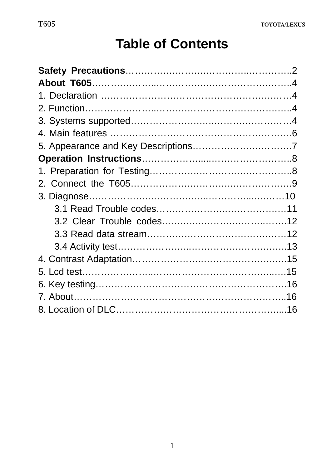# **Table of Contents**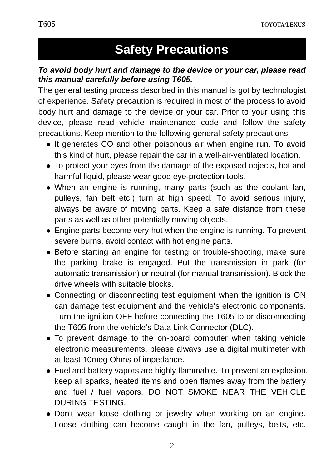# **Safety Precautions**

#### *To avoid body hurt and damage to the device or your car, please read this manual carefully before using T605.*

The general testing process described in this manual is got by technologist of experience. Safety precaution is required in most of the process to avoid body hurt and damage to the device or your car. Prior to your using this device, please read vehicle maintenance code and follow the safety precautions. Keep mention to the following general safety precautions.

- It generates CO and other poisonous air when engine run. To avoid this kind of hurt, please repair the car in a well-air-ventilated location.
- To protect your eyes from the damage of the exposed objects, hot and harmful liquid, please wear good eye-protection tools.
- When an engine is running, many parts (such as the coolant fan, pulleys, fan belt etc.) turn at high speed. To avoid serious injury, always be aware of moving parts. Keep a safe distance from these parts as well as other potentially moving objects.
- $\bullet$  Engine parts become very hot when the engine is running. To prevent severe burns, avoid contact with hot engine parts.
- Before starting an engine for testing or trouble-shooting, make sure the parking brake is engaged. Put the transmission in park (for automatic transmission) or neutral (for manual transmission). Block the drive wheels with suitable blocks.
- Connecting or disconnecting test equipment when the ignition is ON can damage test equipment and the vehicle's electronic components. Turn the ignition OFF before connecting the T605 to or disconnecting the T605 from the vehicle's Data Link Connector (DLC).
- To prevent damage to the on-board computer when taking vehicle electronic measurements, please always use a digital multimeter with at least 10meg Ohms of impedance.
- Fuel and battery vapors are highly flammable. To prevent an explosion, keep all sparks, heated items and open flames away from the battery and fuel / fuel vapors. DO NOT SMOKE NEAR THE VEHICLE DURING TESTING.
- Don't wear loose clothing or jewelry when working on an engine. Loose clothing can become caught in the fan, pulleys, belts, etc.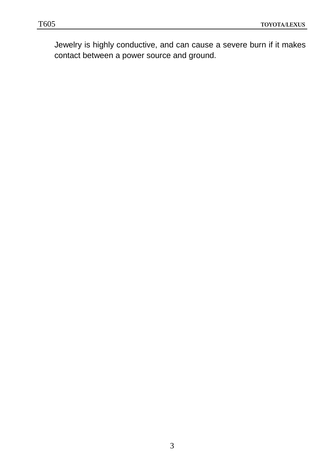Jewelry is highly conductive, and can cause a severe burn if it makes contact between a power source and ground.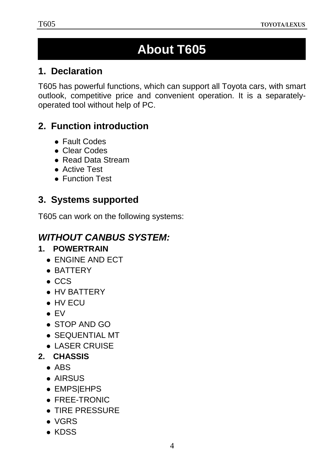# **1 About T605**

## **1.Declaration**

T605 has powerful functions, which can support all Toyota cars, with smart outlook, competitive price and convenient operation. It is a separatelyoperated tool without help of PC.

## **2.Function introduction**

- Fault Codes
- Clear Codes
- Read Data Stream
- Active Test
- **Function Test**

## **3.Systems supported**

T605 can work on the following systems:

# *WITHOUT CANBUS SYSTEM:*

## **1. POWERTRAIN**

- $\bullet$  ENGINE AND ECT
- BATTERY
- $\bullet$  CCS
- $\bullet$  HV BATTERY
- $\bullet$  HV ECU
- $\bullet$  EV
- $\bullet$  STOP AND GO
- SEQUENTIAL MT
- $\bullet$  LASER CRUISE
- **2. CHASSIS** 
	- $\bullet$  ABS
	- AIRSUS
	- EMPS|EHPS
	- $\bullet$  FREE-TRONIC
	- $\bullet$  TIRE PRESSURE
	- $\bullet$  VGRS
	- $\bullet$  KDSS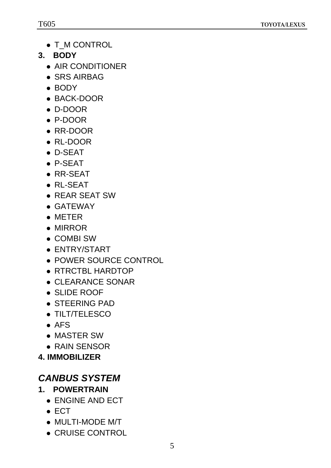- T\_M CONTROL
- **3. BODY** 
	- $\bullet$  AIR CONDITIONER
	- SRS AIRBAG
	- $\bullet$  BODY
	- BACK-DOOR
	- D-DOOR
	- P-DOOR
	- $\bullet$  RR-DOOR
	- $\bullet$  RL-DOOR
	- $\bullet$  D-SEAT
	- $\bullet$  P-SEAT
	- $\bullet$  RR-SEAT
	- $\bullet$  RL-SEAT
	- REAR SEAT SW
	- GATEWAY
	- $\bullet$  METER
	- $\bullet$  MIRROR
	- COMBI SW
	- ENTRY/START
	- POWER SOURCE CONTROL
	- RTRCTBL HARDTOP
	- $\bullet$  CLEARANCE SONAR
	- SLIDE ROOF
	- STEERING PAD
	- TILT/TELESCO
	- $\bullet$  AFS
	- MASTER SW
	- $\bullet$  RAIN SENSOR
- **4. IMMOBILIZER**

# *CANBUS SYSTEM*

- **1. POWERTRAIN** 
	- ENGINE AND ECT
	- $\bullet$  ECT
	- $\bullet$  MULTI-MODE M/T
	- CRUISE CONTROL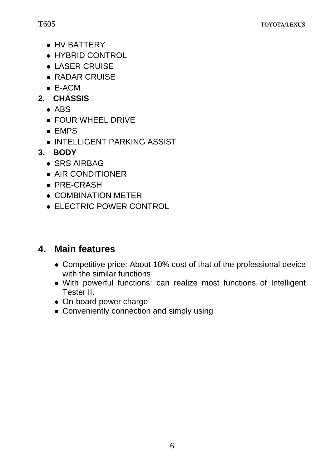- HV BATTERY
- HYBRID CONTROL
- $\bullet$  LASER CRUISE
- $\bullet$  RADAR CRUISE
- $\bullet$  E-ACM
- **2. CHASSIS** 
	- $\bullet$  ABS
	- FOUR WHEEL DRIVE
	- $\bullet$  EMPS
	- INTELLIGENT PARKING ASSIST
- **3. BODY** 
	- $\bullet$  SRS AIRBAG
	- $\bullet$  AIR CONDITIONER
	- $\bullet$  PRE-CRASH
	- COMBINATION METER
	- ELECTRIC POWER CONTROL

## **4. Main features**

- Competitive price: About 10% cost of that of the professional device with the similar functions
- With powerful functions: can realize most functions of Intelligent Tester II.
- On-board power charge
- Conveniently connection and simply using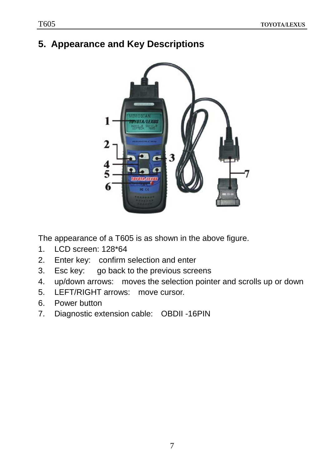## **5. Appearance and Key Descriptions**



The appearance of a T605 is as shown in the above figure.

- 1. LCD screen: 128\*64
- 2. Enter key: confirm selection and enter
- 3. Esc key: go back to the previous screens
- 4. up/down arrows: moves the selection pointer and scrolls up or down
- 5. LEFT/RIGHT arrows: move cursor.
- 6. Power button
- 7. Diagnostic extension cable: OBDII -16PIN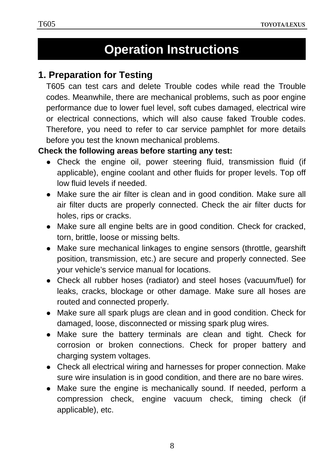# **Operation Instructions**

## **1. Preparation for Testing**

T605 can test cars and delete Trouble codes while read the Trouble codes. Meanwhile, there are mechanical problems, such as poor engine performance due to lower fuel level, soft cubes damaged, electrical wire or electrical connections, which will also cause faked Trouble codes. Therefore, you need to refer to car service pamphlet for more details before you test the known mechanical problems.

#### **Check the following areas before starting any test:**

- Check the engine oil, power steering fluid, transmission fluid (if applicable), engine coolant and other fluids for proper levels. Top off low fluid levels if needed.
- Make sure the air filter is clean and in good condition. Make sure all air filter ducts are properly connected. Check the air filter ducts for holes, rips or cracks.
- Make sure all engine belts are in good condition. Check for cracked, torn, brittle, loose or missing belts.
- Make sure mechanical linkages to engine sensors (throttle, gearshift position, transmission, etc.) are secure and properly connected. See your vehicle's service manual for locations.
- Check all rubber hoses (radiator) and steel hoses (vacuum/fuel) for leaks, cracks, blockage or other damage. Make sure all hoses are routed and connected properly.
- Make sure all spark plugs are clean and in good condition. Check for damaged, loose, disconnected or missing spark plug wires.
- Make sure the battery terminals are clean and tight. Check for corrosion or broken connections. Check for proper battery and charging system voltages.
- Check all electrical wiring and harnesses for proper connection. Make sure wire insulation is in good condition, and there are no bare wires.
- Make sure the engine is mechanically sound. If needed, perform a compression check, engine vacuum check, timing check (if applicable), etc.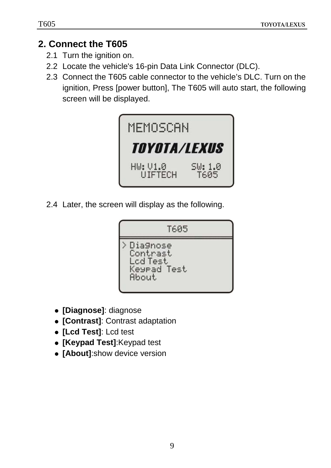### **2. Connect the T605**

- 2.1 Turn the ignition on.
- 2.2 Locate the vehicle's 16-pin Data Link Connector (DLC).
- 2.3 Connect the T605 cable connector to the vehicle's DLC. Turn on the ignition, Press [power button], The T605 will auto start, the following screen will be displayed.



2.4 Later, the screen will display as the following.



- z **[Diagnose]**: diagnose
- z **[Contrast]**: Contrast adaptation
- z **[Lcd Test]**: Lcd test
- **[Keypad Test]: Keypad test**
- **[About]:**show device version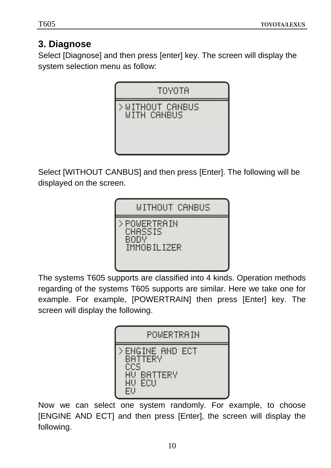# **3. Diagnose**

Select [Diagnose] and then press [enter] key. The screen will display the system selection menu as follow:



Select [WITHOUT CANBUS] and then press [Enter]. The following will be displayed on the screen.



The systems T605 supports are classified into 4 kinds. Operation methods regarding of the systems T605 supports are similar. Here we take one for example. For example, [POWERTRAIN] then press [Enter] key. The screen will display the following.



Now we can select one system randomly. For example, to choose [ENGINE AND ECT] and then press [Enter], the screen will display the following.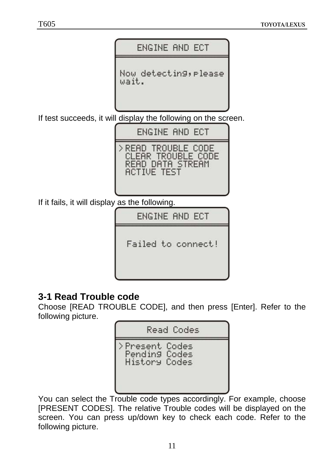

Failed to connect!

## **3-1 Read Trouble code**

Choose [READ TROUBLE CODE], and then press [Enter]. Refer to the following picture.



You can select the Trouble code types accordingly. For example, choose [PRESENT CODES]. The relative Trouble codes will be displayed on the screen. You can press up/down key to check each code. Refer to the following picture.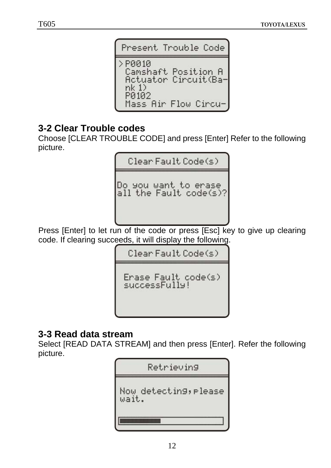

#### **3-2 Clear Trouble codes**

Choose [CLEAR TROUBLE CODE] and press [Enter] Refer to the following picture.

Clear Fault Code(s)

Do you want to erase all the Fault code(s)?

Press [Enter] to let run of the code or press [Esc] key to give up clearing code. If clearing succeeds, it will display the following.

Clear Fault Code(s)

Erase Fault code(s) successFully!

#### **3-3 Read data stream**

Select [READ DATA STREAM] and then press [Enter]. Refer the following picture.

| Retrieving                     |
|--------------------------------|
| Now detecting, please<br>wait. |
|                                |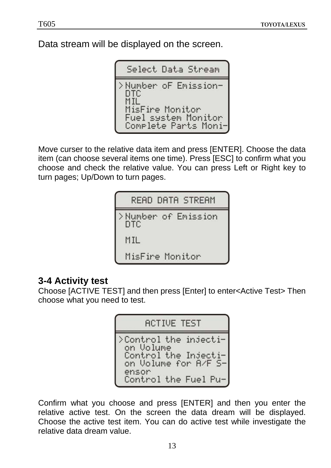Data stream will be displayed on the screen.

```
Select Data Stream
>Number oF Emission-
 DTC
 MisFire Monitor
 Fuel system Monitor
 Complete Parts Moni-
```
Move curser to the relative data item and press [ENTER]. Choose the data item (can choose several items one time). Press [ESC] to confirm what you choose and check the relative value. You can press Left or Right key to turn pages; Up/Down to turn pages.

| READ DATA STREAM            |
|-----------------------------|
| >Number of Emission<br>DTC. |
| MIL                         |
| MisFire Monitor             |

#### **3-4 Activity test**

Choose [ACTIVE TEST] and then press [Enter] to enter<Active Test> Then choose what you need to test.

> **ACTIVE TEST** >Control the injection Volume<br>Control the Injection Volume for A/F Sensor Control the Fuel Pu-

Confirm what you choose and press [ENTER] and then you enter the relative active test. On the screen the data dream will be displayed. Choose the active test item. You can do active test while investigate the relative data dream value.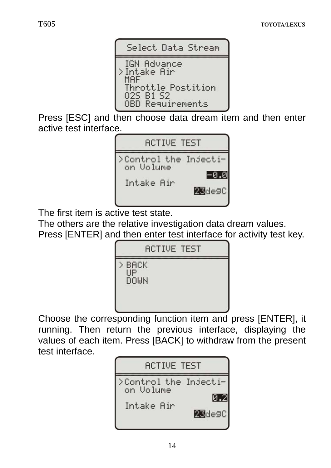

Press [ESC] and then choose data dream item and then enter active test interface.



The first item is active test state.

The others are the relative investigation data dream values.

Press [ENTER] and then enter test interface for activity test key.



Choose the corresponding function item and press [ENTER], it running. Then return the previous interface, displaying the values of each item. Press [BACK] to withdraw from the present test interface.

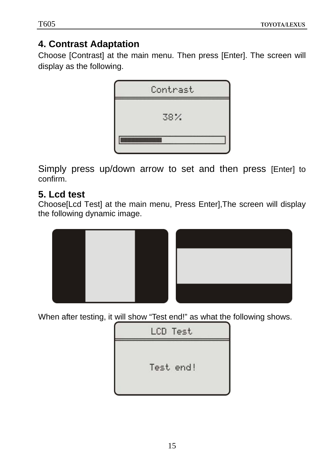## **4. Contrast Adaptation**

Choose [Contrast] at the main menu. Then press [Enter]. The screen will display as the following.



Simply press up/down arrow to set and then press [Enter] to confirm.

#### **5. Lcd test**

Choose[Lcd Test] at the main menu, Press Enter],The screen will display the following dynamic image.



When after testing, it will show "Test end!" as what the following shows.

LCD Test Test end!